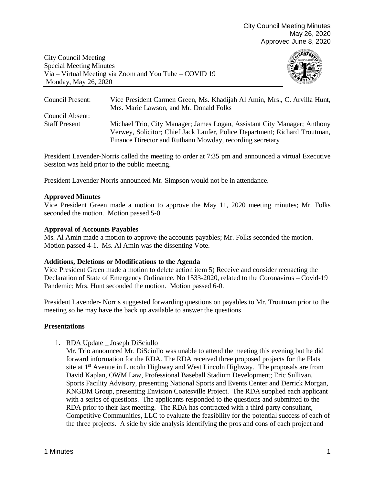City Council Meeting Special Meeting Minutes Via – Virtual Meeting via Zoom and You Tube – COVID 19 Monday, May 26, 2020



| Council Present:     | Vice President Carmen Green, Ms. Khadijah Al Amin, Mrs., C. Arvilla Hunt,<br>Mrs. Marie Lawson, and Mr. Donald Folks                                   |
|----------------------|--------------------------------------------------------------------------------------------------------------------------------------------------------|
| Council Absent:      |                                                                                                                                                        |
| <b>Staff Present</b> | Michael Trio, City Manager; James Logan, Assistant City Manager; Anthony<br>Verwey, Solicitor; Chief Jack Laufer, Police Department; Richard Troutman, |
|                      | Finance Director and Ruthann Mowday, recording secretary                                                                                               |

President Lavender-Norris called the meeting to order at 7:35 pm and announced a virtual Executive Session was held prior to the public meeting.

President Lavender Norris announced Mr. Simpson would not be in attendance.

# **Approved Minutes**

Vice President Green made a motion to approve the May 11, 2020 meeting minutes; Mr. Folks seconded the motion. Motion passed 5-0.

# **Approval of Accounts Payables**

Ms. Al Amin made a motion to approve the accounts payables; Mr. Folks seconded the motion. Motion passed 4-1. Ms. Al Amin was the dissenting Vote.

#### **Additions, Deletions or Modifications to the Agenda**

Vice President Green made a motion to delete action item 5) Receive and consider reenacting the Declaration of State of Emergency Ordinance. No 1533-2020, related to the Coronavirus – Covid-19 Pandemic; Mrs. Hunt seconded the motion. Motion passed 6-0.

President Lavender- Norris suggested forwarding questions on payables to Mr. Troutman prior to the meeting so he may have the back up available to answer the questions.

# **Presentations**

1. RDA Update \_ Joseph DiSciullo

Mr. Trio announced Mr. DiSciullo was unable to attend the meeting this evening but he did forward information for the RDA. The RDA received three proposed projects for the Flats site at 1<sup>st</sup> Avenue in Lincoln Highway and West Lincoln Highway. The proposals are from David Kaplan, OWM Law, Professional Baseball Stadium Development; Eric Sullivan, Sports Facility Advisory, presenting National Sports and Events Center and Derrick Morgan, KNGDM Group, presenting Envision Coatesville Project. The RDA supplied each applicant with a series of questions. The applicants responded to the questions and submitted to the RDA prior to their last meeting. The RDA has contracted with a third-party consultant, Competitive Communities, LLC to evaluate the feasibility for the potential success of each of the three projects. A side by side analysis identifying the pros and cons of each project and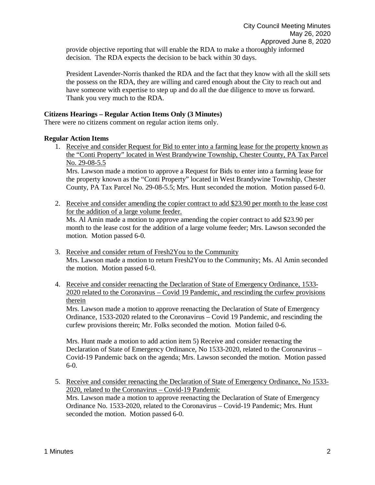provide objective reporting that will enable the RDA to make a thoroughly informed decision. The RDA expects the decision to be back within 30 days.

President Lavender-Norris thanked the RDA and the fact that they know with all the skill sets the possess on the RDA, they are willing and cared enough about the City to reach out and have someone with expertise to step up and do all the due diligence to move us forward. Thank you very much to the RDA.

# **Citizens Hearings – Regular Action Items Only (3 Minutes)**

There were no citizens comment on regular action items only.

motion. Motion passed 6-0.

# **Regular Action Items**

1. Receive and consider Request for Bid to enter into a farming lease for the property known as the "Conti Property" located in West Brandywine Township, Chester County, PA Tax Parcel No. 29-08-5.5

Mrs. Lawson made a motion to approve a Request for Bids to enter into a farming lease for the property known as the "Conti Property" located in West Brandywine Township, Chester County, PA Tax Parcel No. 29-08-5.5; Mrs. Hunt seconded the motion. Motion passed 6-0.

- 2. Receive and consider amending the copier contract to add \$23.90 per month to the lease cost for the addition of a large volume feeder. Ms. Al Amin made a motion to approve amending the copier contract to add \$23.90 per month to the lease cost for the addition of a large volume feeder; Mrs. Lawson seconded the
- 3. Receive and consider return of Fresh2You to the Community Mrs. Lawson made a motion to return Fresh2You to the Community; Ms. Al Amin seconded
- the motion. Motion passed 6-0. 4. Receive and consider reenacting the Declaration of State of Emergency Ordinance, 1533-
- 2020 related to the Coronavirus Covid 19 Pandemic, and rescinding the curfew provisions therein

Mrs. Lawson made a motion to approve reenacting the Declaration of State of Emergency Ordinance, 1533-2020 related to the Coronavirus – Covid 19 Pandemic, and rescinding the curfew provisions therein; Mr. Folks seconded the motion. Motion failed 0-6.

Mrs. Hunt made a motion to add action item 5) Receive and consider reenacting the Declaration of State of Emergency Ordinance, No 1533-2020, related to the Coronavirus – Covid-19 Pandemic back on the agenda; Mrs. Lawson seconded the motion. Motion passed 6-0.

5. Receive and consider reenacting the Declaration of State of Emergency Ordinance, No 1533- 2020, related to the Coronavirus – Covid-19 Pandemic Mrs. Lawson made a motion to approve reenacting the Declaration of State of Emergency Ordinance No. 1533-2020, related to the Coronavirus – Covid-19 Pandemic; Mrs. Hunt seconded the motion. Motion passed 6-0.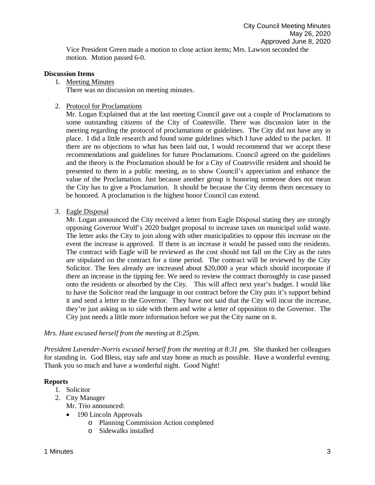Vice President Green made a motion to close action items; Mrs. Lawson seconded the motion. Motion passed 6-0.

#### **Discussion Items**

1. Meeting Minutes

There was no discussion on meeting minutes.

#### 2. Protocol for Proclamations

Mr. Logan Explained that at the last meeting Council gave out a couple of Proclamations to some outstanding citizens of the City of Coatesville. There was discussion later in the meeting regarding the protocol of proclamations or guidelines. The City did not have any in place. I did a little research and found some guidelines which I have added to the packet. If there are no objections to what has been laid out, I would recommend that we accept these recommendations and guidelines for future Proclamations. Council agreed on the guidelines and the theory is the Proclamation should be for a City of Coatesville resident and should be presented to them in a public meeting, as to show Council's appreciation and enhance the value of the Proclamation. Just because another group is honoring someone does not mean the City has to give a Proclamation. It should be because the City deems them necessary to be honored. A proclamation is the highest honor Council can extend.

3. Eagle Disposal

Mr. Logan announced the City received a letter from Eagle Disposal stating they are strongly opposing Governor Wolf's 2020 budget proposal to increase taxes on municipal solid waste. The letter asks the City to join along with other municipalities to oppose this increase on the event the increase is approved. If there is an increase it would be passed onto the residents. The contract with Eagle will be reviewed as the cost should not fall on the City as the rates are stipulated on the contract for a time period. The contract will be reviewed by the City Solicitor. The fees already are increased about \$20,000 a year which should incorporate if there an increase in the tipping fee. We need to review the contract thoroughly in case passed onto the residents or absorbed by the City. This will affect next year's budget. I would like to have the Solicitor read the language in our contract before the City puts it's support behind it and send a letter to the Governor. They have not said that the City will incur the increase, they're just asking us to side with them and write a letter of opposition to the Governor. The City just needs a little more information before we put the City name on it.

# *Mrs. Hunt excused herself from the meeting at 8:25pm.*

*President Lavender-Norris excused herself from the meeting at 8:31 pm.* She thanked her colleagues for standing in. God Bless, stay safe and stay home as much as possible. Have a wonderful evening. Thank you so much and have a wonderful night. Good Night!

# **Reports**

- 1. Solicitor
- 2. City Manager
	- Mr. Trio announced:
	- 190 Lincoln Approvals
		- o Planning Commission Action completed
		- o Sidewalks installed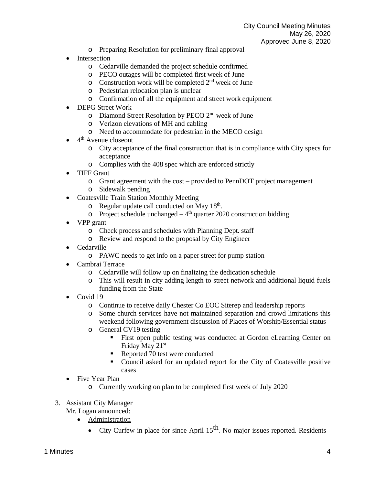- o Preparing Resolution for preliminary final approval
- Intersection
	- o Cedarville demanded the project schedule confirmed
	- o PECO outages will be completed first week of June
	- $\circ$  Construction work will be completed  $2<sup>nd</sup>$  week of June
	- o Pedestrian relocation plan is unclear
	- o Confirmation of all the equipment and street work equipment
- DEPG Street Work
	- o Diamond Street Resolution by PECO 2nd week of June
	- o Verizon elevations of MH and cabling
	- o Need to accommodate for pedestrian in the MECO design
- 4<sup>th</sup> Avenue closeout
	- o City acceptance of the final construction that is in compliance with City specs for acceptance
	- o Complies with the 408 spec which are enforced strictly
- TIFF Grant
	- o Grant agreement with the cost provided to PennDOT project management
	- o Sidewalk pending
- Coatesville Train Station Monthly Meeting
	- o Regular update call conducted on May 18<sup>th</sup>.
	- o Project schedule unchanged  $-4<sup>th</sup>$  quarter 2020 construction bidding
- VPP grant
	- o Check process and schedules with Planning Dept. staff
	- o Review and respond to the proposal by City Engineer
- Cedarville
	- o PAWC needs to get info on a paper street for pump station
- Cambrai Terrace
	- o Cedarville will follow up on finalizing the dedication schedule
	- o This will result in city adding length to street network and additional liquid fuels funding from the State
- Covid 19
	- o Continue to receive daily Chester Co EOC Siterep and leadership reports
	- o Some church services have not maintained separation and crowd limitations this weekend following government discussion of Places of Worship/Essential status
	- o General CV19 testing
		- First open public testing was conducted at Gordon eLearning Center on Friday May 21st
		- Reported 70 test were conducted
		- Council asked for an updated report for the City of Coatesville positive cases
- Five Year Plan
	- o Currently working on plan to be completed first week of July 2020
- 3. Assistant City Manager
	- Mr. Logan announced:
		- Administration
			- City Curfew in place for since April  $15<sup>th</sup>$ . No major issues reported. Residents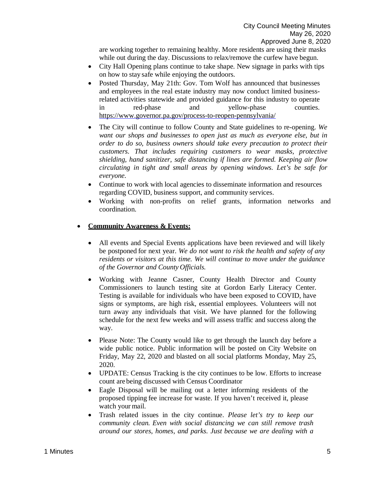are working together to remaining healthy. More residents are using their masks while out during the day. Discussions to relax/remove the curfew have begun.

- City Hall Opening plans continue to take shape. New signage in parks with tips on how to stay safe while enjoying the outdoors.
- Posted Thursday, May 21th: Gov. Tom Wolf has announced that businesses and employees in the real estate industry may now conduct limited businessrelated activities statewide and provided guidance for this industry to operate in red-phase and yellow-phase counties. <https://www.governor.pa.gov/process-to-reopen-pennsylvania/>
- The City will continue to follow County and State guidelines to re-opening. *We want our shops and businesses to open just as much as everyone else, but in order to do so, business owners should take every precaution to protect their customers. That includes requiring customers to wear masks, protective shielding, hand sanitizer, safe distancing if lines are formed. Keeping air flow circulating in tight and small areas by opening windows. Let's be safe for everyone.*
- Continue to work with local agencies to disseminate information and resources regarding COVID, business support, and community services.
- Working with non-profits on relief grants, information networks and coordination.

# • **Community Awareness & Events:**

- All events and Special Events applications have been reviewed and will likely be postponed for next year. *We do not want to risk the health and safety of any residents or visitors at this time. We will continue to move under the guidance of the Governor and County Officials.*
- Working with Jeanne Casner, County Health Director and County Commissioners to launch testing site at Gordon Early Literacy Center. Testing is available for individuals who have been exposed to COVID, have signs or symptoms, are high risk, essential employees. Volunteers will not turn away any individuals that visit. We have planned for the following schedule for the next few weeks and will assess traffic and success along the way.
- Please Note: The County would like to get through the launch day before a wide public notice. Public information will be posted on City Website on Friday, May 22, 2020 and blasted on all social platforms Monday, May 25, 2020.
- UPDATE: Census Tracking is the city continues to be low. Efforts to increase count are being discussed with Census Coordinator
- Eagle Disposal will be mailing out a letter informing residents of the proposed tipping fee increase for waste. If you haven't received it, please watch your mail.
- Trash related issues in the city continue. *Please let's try to keep our community clean. Even with social distancing we can still remove trash around our stores, homes, and parks. Just because we are dealing with a*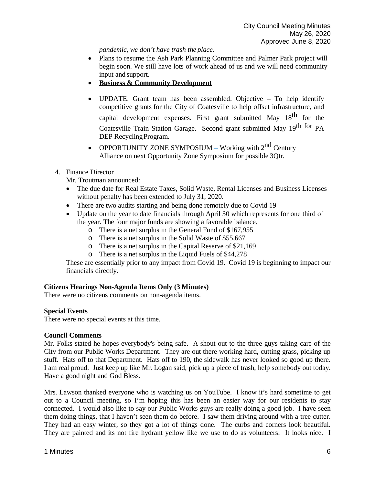*pandemic, we don't have trash the place*.

- Plans to resume the Ash Park Planning Committee and Palmer Park project will begin soon. We still have lots of work ahead of us and we will need community input and support.
- **Business & Community Development**
- UPDATE: Grant team has been assembled: Objective To help identify competitive grants for the City of Coatesville to help offset infrastructure, and capital development expenses. First grant submitted May  $18<sup>th</sup>$  for the Coatesville Train Station Garage. Second grant submitted May 19th for PA DEP Recycling Program.
- OPPORTUNITY ZONE SYMPOSIUM Working with  $2<sup>nd</sup>$  Century Alliance on next Opportunity Zone Symposium for possible 3Qtr.
- 4. Finance Director

Mr. Troutman announced:

- The due date for Real Estate Taxes, Solid Waste, Rental Licenses and Business Licenses without penalty has been extended to July 31, 2020.
- There are two audits starting and being done remotely due to Covid 19
- Update on the year to date financials through April 30 which represents for one third of the year. The four major funds are showing a favorable balance.
	- o There is a net surplus in the General Fund of \$167,955
	- o There is a net surplus in the Solid Waste of \$55,667
	- o There is a net surplus in the Capital Reserve of \$21,169
	- o There is a net surplus in the Liquid Fuels of \$44,278

These are essentially prior to any impact from Covid 19. Covid 19 is beginning to impact our financials directly.

# **Citizens Hearings Non-Agenda Items Only (3 Minutes)**

There were no citizens comments on non-agenda items.

# **Special Events**

There were no special events at this time.

# **Council Comments**

Mr. Folks stated he hopes everybody's being safe. A shout out to the three guys taking care of the City from our Public Works Department. They are out there working hard, cutting grass, picking up stuff. Hats off to that Department. Hats off to 190, the sidewalk has never looked so good up there. I am real proud. Just keep up like Mr. Logan said, pick up a piece of trash, help somebody out today. Have a good night and God Bless.

Mrs. Lawson thanked everyone who is watching us on YouTube. I know it's hard sometime to get out to a Council meeting, so I'm hoping this has been an easier way for our residents to stay connected. I would also like to say our Public Works guys are really doing a good job. I have seen them doing things, that I haven't seen them do before. I saw them driving around with a tree cutter. They had an easy winter, so they got a lot of things done. The curbs and corners look beautiful. They are painted and its not fire hydrant yellow like we use to do as volunteers. It looks nice. I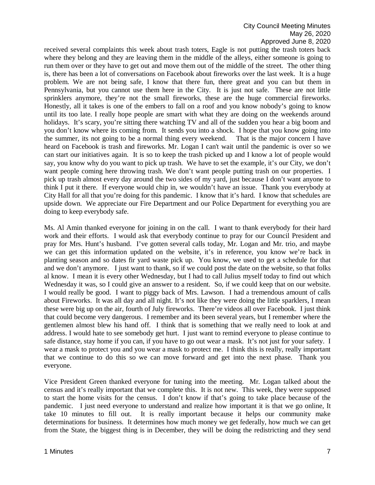# City Council Meeting Minutes May 26, 2020 Approved June 8, 2020

received several complaints this week about trash toters, Eagle is not putting the trash toters back where they belong and they are leaving them in the middle of the alleys, either someone is going to run them over or they have to get out and move them out of the middle of the street. The other thing is, there has been a lot of conversations on Facebook about fireworks over the last week. It is a huge problem. We are not being safe, I know that there fun, there great and you can but them in Pennsylvania, but you cannot use them here in the City. It is just not safe. These are not little sprinklers anymore, they're not the small fireworks, these are the huge commercial fireworks. Honestly, all it takes is one of the embers to fall on a roof and you know nobody's going to know until its too late. I really hope people are smart with what they are doing on the weekends around holidays. It's scary, you're sitting there watching TV and all of the sudden you hear a big boom and you don't know where its coming from. It sends you into a shock. I hope that you know going into the summer, its not going to be a normal thing every weekend. That is the major concern I have heard on Facebook is trash and fireworks. Mr. Logan I can't wait until the pandemic is over so we can start our initiatives again. It is so to keep the trash picked up and I know a lot of people would say, you know why do you want to pick up trash. We have to set the example, it's our City, we don't want people coming here throwing trash. We don't want people putting trash on our properties. I pick up trash almost every day around the two sides of my yard, just because I don't want anyone to think I put it there. If everyone would chip in, we wouldn't have an issue. Thank you everybody at City Hall for all that you're doing for this pandemic. I know that it's hard. I know that schedules are upside down. We appreciate our Fire Department and our Police Department for everything you are doing to keep everybody safe.

Ms. Al Amin thanked everyone for joining in on the call. I want to thank everybody for their hard work and their efforts. I would ask that everybody continue to pray for our Council President and pray for Mrs. Hunt's husband. I've gotten several calls today, Mr. Logan and Mr. trio, and maybe we can get this information updated on the website, it's in reference, you know we're back in planting season and so dates fir yard waste pick up. You know, we used to get a schedule for that and we don't anymore. I just want to thank, so if we could post the date on the website, so that folks al know. I mean it is every other Wednesday, but I had to call Julius myself today to find out which Wednesday it was, so I could give an answer to a resident. So, if we could keep that on our website. I would really be good. I want to piggy back of Mrs. Lawson. I had a tremendous amount of calls about Fireworks. It was all day and all night. It's not like they were doing the little sparklers, I mean these were big up on the air, fourth of July fireworks. There're videos all over Facebook. I just think that could become very dangerous. I remember and its been several years, but I remember where the gentlemen almost blew his hand off. I think that is something that we really need to look at and address. I would hate to see somebody get hurt. I just want to remind everyone to please continue to safe distance, stay home if you can, if you have to go out wear a mask. It's not just for your safety. I wear a mask to protect you and you wear a mask to protect me. I think this is really, really important that we continue to do this so we can move forward and get into the next phase. Thank you everyone.

Vice President Green thanked everyone for tuning into the meeting. Mr. Logan talked about the census and it's really important that we complete this. It is not new. This week, they were supposed to start the home visits for the census. I don't know if that's going to take place because of the pandemic. I just need everyone to understand and realize how important it is that we go online, It take 10 minutes to fill out. It is really important because it helps our community make determinations for business. It determines how much money we get federally, how much we can get from the State, the biggest thing is in December, they will be doing the redistricting and they send